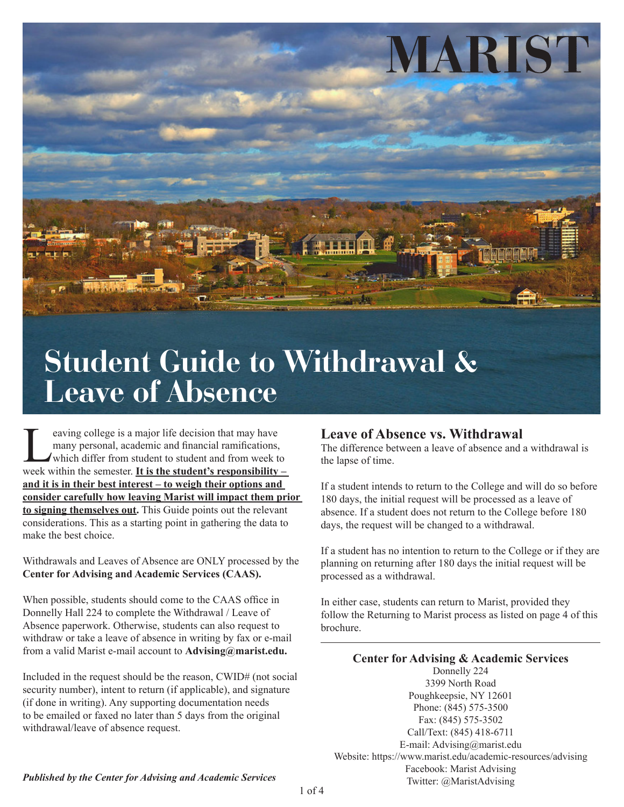

## $\blacksquare$ **Student Guide to Withdrawal & Leave of Absence**

Eventy and the decision that may have<br>many personal, academic and financial ramifications,<br>which differ from student to student and from week to<br>week within the semester. It is the student's responsibility many personal, academic and financial ramifications, which differ from student to student and from week to week within the semester. **It is the student's responsibility – and it is in their best interest – to weigh their options and consider carefully how leaving Marist will impact them prior to signing themselves out.** This Guide points out the relevant considerations. This as a starting point in gathering the data to make the best choice.

Withdrawals and Leaves of Absence are ONLY processed by the **Center for Advising and Academic Services (CAAS).**

When possible, students should come to the CAAS office in Donnelly Hall 224 to complete the Withdrawal / Leave of Absence paperwork. Otherwise, students can also request to withdraw or take a leave of absence in writing by fax or e-mail from a valid Marist e-mail account to **Advising@marist.edu.**

Included in the request should be the reason, CWID# (not social security number), intent to return (if applicable), and signature (if done in writing). Any supporting documentation needs to be emailed or faxed no later than 5 days from the original withdrawal/leave of absence request.

#### **Leave of Absence vs. Withdrawal**

The difference between a leave of absence and a withdrawal is the lapse of time.

If a student intends to return to the College and will do so before 180 days, the initial request will be processed as a leave of absence. If a student does not return to the College before 180 days, the request will be changed to a withdrawal.

If a student has no intention to return to the College or if they are planning on returning after 180 days the initial request will be processed as a withdrawal.

In either case, students can return to Marist, provided they follow the Returning to Marist process as listed on page 4 of this brochure.

**Center for Advising & Academic Services** Donnelly 224 3399 North Road Poughkeepsie, NY 12601 Phone: (845) 575-3500 Fax: (845) 575-3502 Call/Text: (845) 418-6711 E-mail: Advising@marist.edu Website: https://www.marist.edu/academic-resources/advising Facebook: Marist Advising Twitter: @MaristAdvising

*Published by the Center for Advising and Academic Services*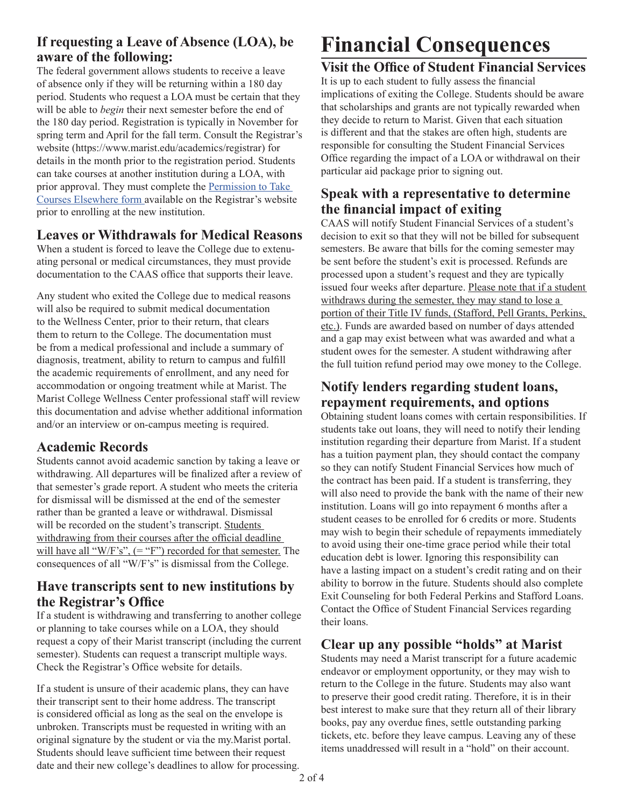#### **If requesting a Leave of Absence (LOA), be aware of the following:**

The federal government allows students to receive a leave of absence only if they will be returning within a 180 day period. Students who request a LOA must be certain that they will be able to *begin* their next semester before the end of the 180 day period. Registration is typically in November for spring term and April for the fall term. Consult the Registrar's website (https://www.marist.edu/academics/registrar) for details in the month prior to the registration period. Students can take courses at another institution during a LOA, with prior approval. They must complete the [Permission to Take](https://ww2.marist.edu/registrar/pdfs/permcourse.pdf)  [Courses Elsewhere form a](https://ww2.marist.edu/registrar/pdfs/permcourse.pdf)vailable on the Registrar's website prior to enrolling at the new institution.

#### **Leaves or Withdrawals for Medical Reasons**

When a student is forced to leave the College due to extenuating personal or medical circumstances, they must provide documentation to the CAAS office that supports their leave.

Any student who exited the College due to medical reasons will also be required to submit medical documentation to the Wellness Center, prior to their return, that clears them to return to the College. The documentation must be from a medical professional and include a summary of diagnosis, treatment, ability to return to campus and fulfill the academic requirements of enrollment, and any need for accommodation or ongoing treatment while at Marist. The Marist College Wellness Center professional staff will review this documentation and advise whether additional information and/or an interview or on-campus meeting is required.

#### **Academic Records**

Students cannot avoid academic sanction by taking a leave or withdrawing. All departures will be finalized after a review of that semester's grade report. A student who meets the criteria for dismissal will be dismissed at the end of the semester rather than be granted a leave or withdrawal. Dismissal will be recorded on the student's transcript. Students withdrawing from their courses after the official deadline will have all " $W/F's$ ",  $(= "F")$  recorded for that semester. The consequences of all "W/F's" is dismissal from the College.

#### **Have transcripts sent to new institutions by the Registrar's Office**

If a student is withdrawing and transferring to another college or planning to take courses while on a LOA, they should request a copy of their Marist transcript (including the current semester). Students can request a transcript multiple ways. Check the Registrar's Office website for details.

If a student is unsure of their academic plans, they can have their transcript sent to their home address. The transcript is considered official as long as the seal on the envelope is unbroken. Transcripts must be requested in writing with an original signature by the student or via the my.Marist portal. Students should leave sufficient time between their request date and their new college's deadlines to allow for processing.

# **Financial Consequences**

#### **Visit the Office of Student Financial Services**

It is up to each student to fully assess the financial implications of exiting the College. Students should be aware that scholarships and grants are not typically rewarded when they decide to return to Marist. Given that each situation is different and that the stakes are often high, students are responsible for consulting the Student Financial Services Office regarding the impact of a LOA or withdrawal on their particular aid package prior to signing out.

#### **Speak with a representative to determine the financial impact of exiting**

CAAS will notify Student Financial Services of a student's decision to exit so that they will not be billed for subsequent semesters. Be aware that bills for the coming semester may be sent before the student's exit is processed. Refunds are processed upon a student's request and they are typically issued four weeks after departure. Please note that if a student withdraws during the semester, they may stand to lose a portion of their Title IV funds, (Stafford, Pell Grants, Perkins, etc.). Funds are awarded based on number of days attended and a gap may exist between what was awarded and what a student owes for the semester. A student withdrawing after the full tuition refund period may owe money to the College.

#### **Notify lenders regarding student loans, repayment requirements, and options**

Obtaining student loans comes with certain responsibilities. If students take out loans, they will need to notify their lending institution regarding their departure from Marist. If a student has a tuition payment plan, they should contact the company so they can notify Student Financial Services how much of the contract has been paid. If a student is transferring, they will also need to provide the bank with the name of their new institution. Loans will go into repayment 6 months after a student ceases to be enrolled for 6 credits or more. Students may wish to begin their schedule of repayments immediately to avoid using their one-time grace period while their total education debt is lower. Ignoring this responsibility can have a lasting impact on a student's credit rating and on their ability to borrow in the future. Students should also complete Exit Counseling for both Federal Perkins and Stafford Loans. Contact the Office of Student Financial Services regarding their loans.

#### **Clear up any possible "holds" at Marist**

Students may need a Marist transcript for a future academic endeavor or employment opportunity, or they may wish to return to the College in the future. Students may also want to preserve their good credit rating. Therefore, it is in their best interest to make sure that they return all of their library books, pay any overdue fines, settle outstanding parking tickets, etc. before they leave campus. Leaving any of these items unaddressed will result in a "hold" on their account.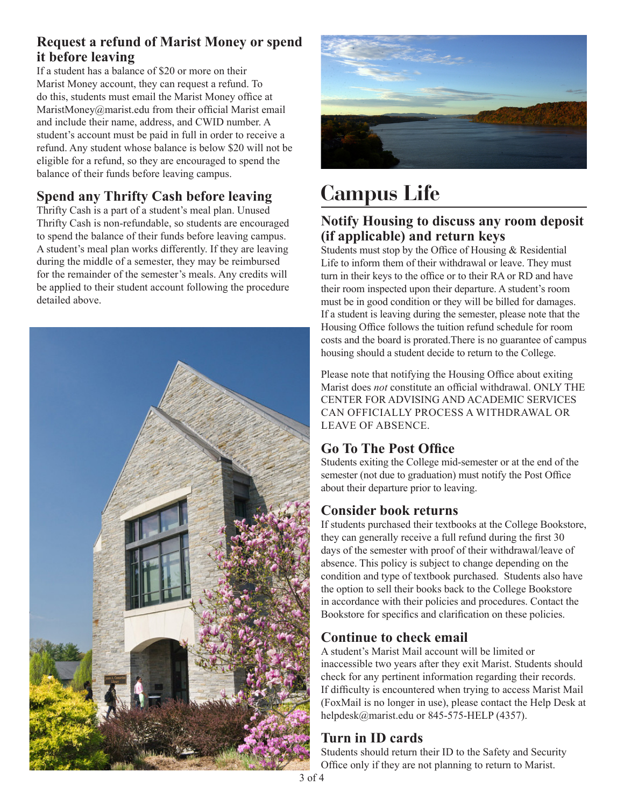#### **Request a refund of Marist Money or spend it before leaving**

If a student has a balance of \$20 or more on their Marist Money account, they can request a refund. To do this, students must email the Marist Money office at MaristMoney@marist.edu from their official Marist email and include their name, address, and CWID number. A student's account must be paid in full in order to receive a refund. Any student whose balance is below \$20 will not be eligible for a refund, so they are encouraged to spend the balance of their funds before leaving campus.

#### **Spend any Thrifty Cash before leaving**

Thrifty Cash is a part of a student's meal plan. Unused Thrifty Cash is non-refundable, so students are encouraged to spend the balance of their funds before leaving campus. A student's meal plan works differently. If they are leaving during the middle of a semester, they may be reimbursed for the remainder of the semester's meals. Any credits will be applied to their student account following the procedure detailed above.





# **Campus Life**

#### **Notify Housing to discuss any room deposit (if applicable) and return keys**

Students must stop by the Office of Housing & Residential Life to inform them of their withdrawal or leave. They must turn in their keys to the office or to their RA or RD and have their room inspected upon their departure. A student's room must be in good condition or they will be billed for damages. If a student is leaving during the semester, please note that the Housing Office follows the tuition refund schedule for room costs and the board is prorated.There is no guarantee of campus housing should a student decide to return to the College.

Please note that notifying the Housing Office about exiting Marist does *not* constitute an official withdrawal. ONLY THE CENTER FOR ADVISING AND ACADEMIC SERVICES CAN OFFICIALLY PROCESS A WITHDRAWAL OR LEAVE OF ABSENCE.

#### **Go To The Post Office**

Students exiting the College mid-semester or at the end of the semester (not due to graduation) must notify the Post Office about their departure prior to leaving.

#### **Consider book returns**

If students purchased their textbooks at the College Bookstore, they can generally receive a full refund during the first 30 days of the semester with proof of their withdrawal/leave of absence. This policy is subject to change depending on the condition and type of textbook purchased. Students also have the option to sell their books back to the College Bookstore in accordance with their policies and procedures. Contact the Bookstore for specifics and clarification on these policies.

#### **Continue to check email**

A student's Marist Mail account will be limited or inaccessible two years after they exit Marist. Students should check for any pertinent information regarding their records. If difficulty is encountered when trying to access Marist Mail (FoxMail is no longer in use), please contact the Help Desk at helpdesk@marist.edu or 845-575-HELP (4357).

#### **Turn in ID cards**

Students should return their ID to the Safety and Security Office only if they are not planning to return to Marist.